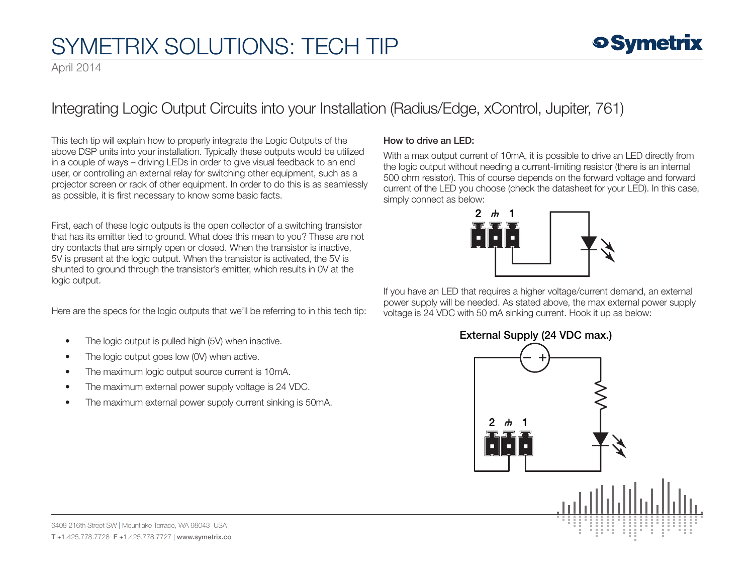## SYMETRIX SOLUTIONS: TECH TIP

April 2014

### Integrating Logic Output Circuits into your Installation (Radius/Edge, xControl, Jupiter, 761)

This tech tip will explain how to properly integrate the Logic Outputs of the above DSP units into your installation. Typically these outputs would be utilized in a couple of ways – driving LEDs in order to give visual feedback to an end user, or controlling an external relay for switching other equipment, such as a projector screen or rack of other equipment. In order to do this is as seamlessly as possible, it is first necessary to know some basic facts.

First, each of these logic outputs is the open collector of a switching transistor that has its emitter tied to ground. What does this mean to you? These are not dry contacts that are simply open or closed. When the transistor is inactive, 5V is present at the logic output. When the transistor is activated, the 5V is shunted to ground through the transistor's emitter, which results in 0V at the logic output.

Here are the specs for the logic outputs that we'll be referring to in this tech tip:

- The logic output is pulled high (5V) when inactive.
- The logic output goes low (0V) when active.
- The maximum logic output source current is 10mA.
- The maximum external power supply voltage is 24 VDC.
- The maximum external power supply current sinking is 50mA.

### How to drive an LED:

With a max output current of 10mA, it is possible to drive an LED directly from the logic output without needing a current-limiting resistor (there is an internal 500 ohm resistor). This of course depends on the forward voltage and forward current of the LED you choose (check the datasheet for your LED). In this case, simply connect as below:



If you have an LED that requires a higher voltage/current demand, an external power supply will be needed. As stated above, the max external power supply voltage is 24 VDC with 50 mA sinking current. Hook it up as below:

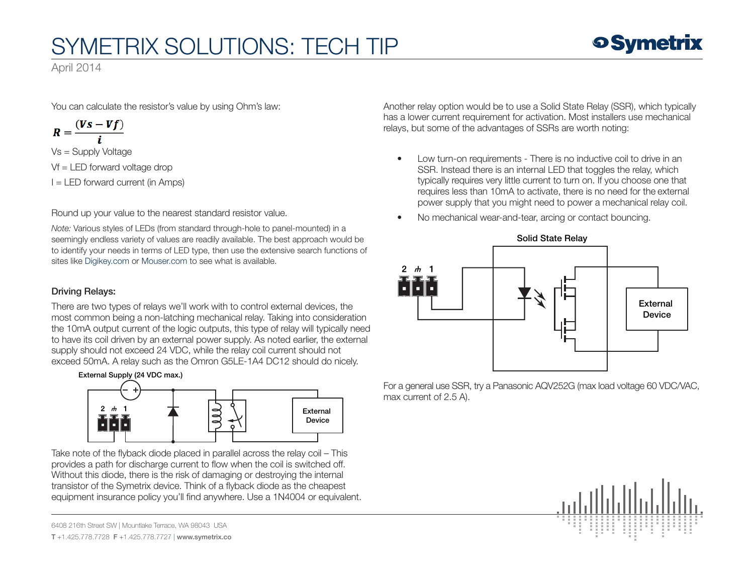# SYMETRIX SOLUTIONS: TECH TIP

April 2014

You can calculate the resistor's value by using Ohm's law:

$$
R=\frac{(Vs-Vf)}{i}
$$

Vs = Supply Voltage Vf = LED forward voltage drop  $I = LED$  forward current (in Amps)

Round up your value to the nearest standard resistor value.

*Note:* Various styles of LEDs (from standard through-hole to panel-mounted) in a seemingly endless variety of values are readily available. The best approach would be to identify your needs in terms of LED type, then use the extensive search functions of sites like [Digikey.com](http://www.digikey.com/) or [Mouser.com](http://www.mouser.com/) to see what is available.

### Driving Relays:

There are two types of relays we'll work with to control external devices, the most common being a non-latching mechanical relay. Taking into consideration the 10mA output current of the logic outputs, this type of relay will typically need to have its coil driven by an external power supply. As noted earlier, the external supply should not exceed 24 VDC, while the relay coil current should not exceed 50mA. A relay such as the Omron G5LE-1A4 DC12 should do nicely.



Take note of the flyback diode placed in parallel across the relay coil – This provides a path for discharge current to flow when the coil is switched off. Without this diode, there is the risk of damaging or destroying the internal transistor of the Symetrix device. Think of a flyback diode as the cheapest equipment insurance policy you'll find anywhere. Use a 1N4004 or equivalent.

6408 216th Street SW | Mountlake Terrace, WA 98043 USA

T +1.425.778.7728 F +1.425.778.7727 | www.symetrix.co

Another relay option would be to use a Solid State Relay (SSR), which typically has a lower current requirement for activation. Most installers use mechanical relays, but some of the advantages of SSRs are worth noting:

- Low turn-on requirements There is no inductive coil to drive in an SSR. Instead there is an internal LED that toggles the relay, which typically requires very little current to turn on. If you choose one that requires less than 10mA to activate, there is no need for the external power supply that you might need to power a mechanical relay coil.
- No mechanical wear-and-tear, arcing or contact bouncing.



For a general use SSR, try a Panasonic AQV252G (max load voltage 60 VDC/VAC, max current of 2.5 A).